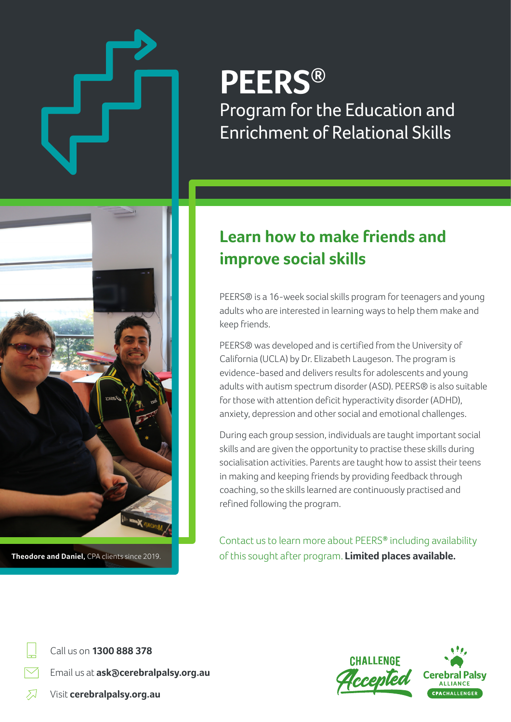# **PEERS®** Program for the Education and Enrichment of Relational Skills



**Theodore and Daniel,** CPA clients since 2019.

## **Learn how to make friends and improve social skills**

PEERS® is a 16-week social skills program for teenagers and young adults who are interested in learning ways to help them make and keep friends.

PEERS® was developed and is certified from the University of California (UCLA) by Dr. Elizabeth Laugeson. The program is evidence-based and delivers results for adolescents and young adults with autism spectrum disorder (ASD). PEERS® is also suitable for those with attention deficit hyperactivity disorder (ADHD), anxiety, depression and other social and emotional challenges.

During each group session, individuals are taught important social skills and are given the opportunity to practise these skills during socialisation activities. Parents are taught how to assist their teens in making and keeping friends by providing feedback through coaching, so the skills learned are continuously practised and refined following the program.

Contact us to learn more about PEERS**®** including availability of this sought after program. **Limited places available.** 



Email us at **ask@cerebralpalsy.org.au**



 $\mathcal{F}$ Visit **cerebralpalsy.org.au**